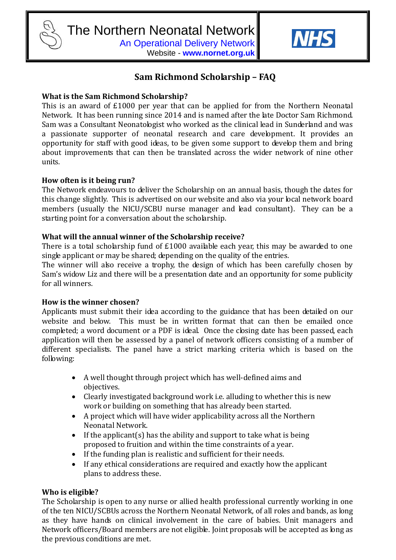

Website - **www.nornet.org.uk**



# **Sam Richmond Scholarship – FAQ**

## **What is the Sam Richmond Scholarship?**

This is an award of £1000 per year that can be applied for from the Northern Neonatal Network. It has been running since 2014 and is named after the late Doctor Sam Richmond. Sam was a Consultant Neonatologist who worked as the clinical lead in Sunderland and was a passionate supporter of neonatal research and care development. It provides an opportunity for staff with good ideas, to be given some support to develop them and bring about improvements that can then be translated across the wider network of nine other units.

## **How often is it being run?**

The Network endeavours to deliver the Scholarship on an annual basis, though the dates for this change slightly. This is advertised on our website and also via your local network board members (usually the NICU/SCBU nurse manager and lead consultant). They can be a starting point for a conversation about the scholarship.

## **What will the annual winner of the Scholarship receive?**

There is a total scholarship fund of £1000 available each year, this may be awarded to one single applicant or may be shared; depending on the quality of the entries.

The winner will also receive a trophy, the design of which has been carefully chosen by Sam's widow Liz and there will be a presentation date and an opportunity for some publicity for all winners.

## **How is the winner chosen?**

Applicants must submit their idea according to the guidance that has been detailed on our website and below. This must be in written format that can then be emailed once completed; a word document or a PDF is ideal. Once the closing date has been passed, each application will then be assessed by a panel of network officers consisting of a number of different specialists. The panel have a strict marking criteria which is based on the following:

- A well thought through project which has well-defined aims and objectives.
- Clearly investigated background work i.e. alluding to whether this is new work or building on something that has already been started.
- A project which will have wider applicability across all the Northern Neonatal Network.
- If the applicant(s) has the ability and support to take what is being proposed to fruition and within the time constraints of a year.
- If the funding plan is realistic and sufficient for their needs.
- If any ethical considerations are required and exactly how the applicant plans to address these.

## **Who is eligible?**

The Scholarship is open to any nurse or allied health professional currently working in one of the ten NICU/SCBUs across the Northern Neonatal Network, of all roles and bands, as long as they have hands on clinical involvement in the care of babies. Unit managers and Network officers/Board members are not eligible. Joint proposals will be accepted as long as the previous conditions are met.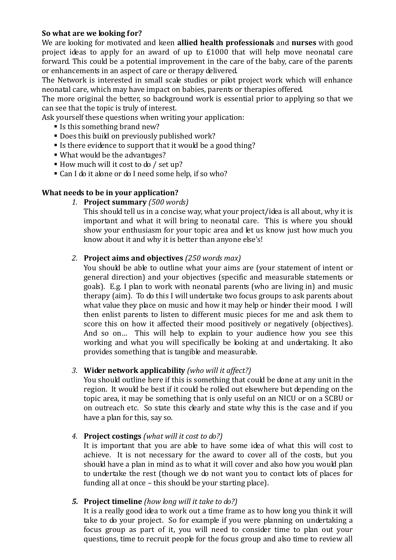## **So what are we looking for?**

We are looking for motivated and keen **allied health professionals** and **nurses** with good project ideas to apply for an award of up to £1000 that will help move neonatal care forward. This could be a potential improvement in the care of the baby, care of the parents or enhancements in an aspect of care or therapy delivered.

The Network is interested in small scale studies or pilot project work which will enhance neonatal care, which may have impact on babies, parents or therapies offered.

The more original the better, so background work is essential prior to applying so that we can see that the topic is truly of interest.

Ask yourself these questions when writing your application:

- Is this something brand new?
- Does this build on previously published work?
- If there evidence to support that it would be a good thing?
- What would be the advantages?
- How much will it cost to do / set up?
- Can I do it alone or do I need some help, if so who?

## **What needs to be in your application?**

*1.* **Project summary** *(500 words)*

This should tell us in a concise way, what your project/idea is all about, why it is important and what it will bring to neonatal care. This is where you should show your enthusiasm for your topic area and let us know just how much you know about it and why it is better than anyone else's!

## *2.* **Project aims and objectives** *(250 words max)*

You should be able to outline what your aims are (your statement of intent or general direction) and your objectives (specific and measurable statements or goals). E.g. I plan to work with neonatal parents (who are living in) and music therapy (aim). To do this I will undertake two focus groups to ask parents about what value they place on music and how it may help or hinder their mood. I will then enlist parents to listen to different music pieces for me and ask them to score this on how it affected their mood positively or negatively (objectives). And so on… This will help to explain to your audience how you see this working and what you will specifically be looking at and undertaking. It also provides something that is tangible and measurable.

## *3.* **Wider network applicability** *(who will it affect?)*

You should outline here if this is something that could be done at any unit in the region. It would be best if it could be rolled out elsewhere but depending on the topic area, it may be something that is only useful on an NICU or on a SCBU or on outreach etc. So state this clearly and state why this is the case and if you have a plan for this, say so.

## *4.* **Project costings** *(what will it cost to do?)*

It is important that you are able to have some idea of what this will cost to achieve. It is not necessary for the award to cover all of the costs, but you should have a plan in mind as to what it will cover and also how you would plan to undertake the rest (though we do not want you to contact lots of places for funding all at once – this should be your starting place).

## *5.* **Project timeline** *(how long will it take to do?)*

It is a really good idea to work out a time frame as to how long you think it will take to do your project. So for example if you were planning on undertaking a focus group as part of it, you will need to consider time to plan out your questions, time to recruit people for the focus group and also time to review all